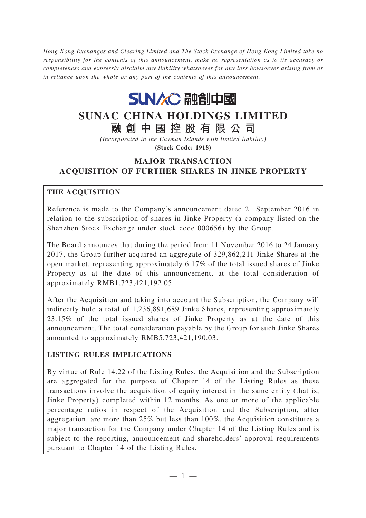*Hong Kong Exchanges and Clearing Limited and The Stock Exchange of Hong Kong Limited take no responsibility for the contents of this announcement, make no representation as to its accuracy or completeness and expressly disclaim any liability whatsoever for any loss howsoever arising from or in reliance upon the whole or any part of the contents of this announcement.*



# **SUNAC CHINA HOLDINGS LIMITED**

**融創中國控股有限公司**

*(Incorporated in the Cayman Islands with limited liability)* **(Stock Code: 1918)**

# **MAJOR TRANSACTION ACQUISITION OF FURTHER SHARES IN JINKE PROPERTY**

# **THE ACQUISITION**

Reference is made to the Company's announcement dated 21 September 2016 in relation to the subscription of shares in Jinke Property (a company listed on the Shenzhen Stock Exchange under stock code 000656) by the Group.

The Board announces that during the period from 11 November 2016 to 24 January 2017, the Group further acquired an aggregate of 329,862,211 Jinke Shares at the open market, representing approximately 6.17% of the total issued shares of Jinke Property as at the date of this announcement, at the total consideration of approximately RMB1,723,421,192.05.

After the Acquisition and taking into account the Subscription, the Company will indirectly hold a total of 1,236,891,689 Jinke Shares, representing approximately 23.15% of the total issued shares of Jinke Property as at the date of this announcement. The total consideration payable by the Group for such Jinke Shares amounted to approximately RMB5,723,421,190.03.

# **LISTING RULES IMPLICATIONS**

By virtue of Rule 14.22 of the Listing Rules, the Acquisition and the Subscription are aggregated for the purpose of Chapter 14 of the Listing Rules as these transactions involve the acquisition of equity interest in the same entity (that is, Jinke Property) completed within 12 months. As one or more of the applicable percentage ratios in respect of the Acquisition and the Subscription, after aggregation, are more than 25% but less than 100%, the Acquisition constitutes a major transaction for the Company under Chapter 14 of the Listing Rules and is subject to the reporting, announcement and shareholders' approval requirements pursuant to Chapter 14 of the Listing Rules.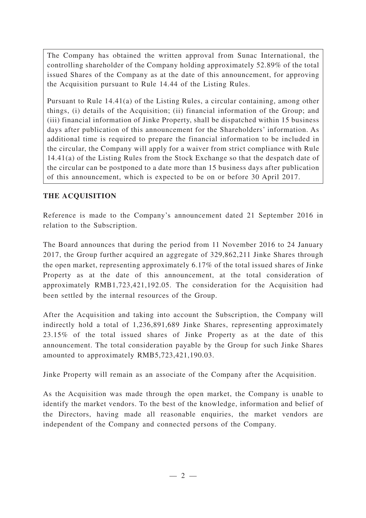The Company has obtained the written approval from Sunac International, the controlling shareholder of the Company holding approximately 52.89% of the total issued Shares of the Company as at the date of this announcement, for approving the Acquisition pursuant to Rule 14.44 of the Listing Rules.

Pursuant to Rule 14.41(a) of the Listing Rules, a circular containing, among other things, (i) details of the Acquisition; (ii) financial information of the Group; and (iii) financial information of Jinke Property, shall be dispatched within 15 business days after publication of this announcement for the Shareholders' information. As additional time is required to prepare the financial information to be included in the circular, the Company will apply for a waiver from strict compliance with Rule 14.41(a) of the Listing Rules from the Stock Exchange so that the despatch date of the circular can be postponed to a date more than 15 business days after publication of this announcement, which is expected to be on or before 30 April 2017.

## **THE ACQUISITION**

Reference is made to the Company's announcement dated 21 September 2016 in relation to the Subscription.

The Board announces that during the period from 11 November 2016 to 24 January 2017, the Group further acquired an aggregate of 329,862,211 Jinke Shares through the open market, representing approximately 6.17% of the total issued shares of Jinke Property as at the date of this announcement, at the total consideration of approximately RMB1,723,421,192.05. The consideration for the Acquisition had been settled by the internal resources of the Group.

After the Acquisition and taking into account the Subscription, the Company will indirectly hold a total of 1,236,891,689 Jinke Shares, representing approximately 23.15% of the total issued shares of Jinke Property as at the date of this announcement. The total consideration payable by the Group for such Jinke Shares amounted to approximately RMB5,723,421,190.03.

Jinke Property will remain as an associate of the Company after the Acquisition.

As the Acquisition was made through the open market, the Company is unable to identify the market vendors. To the best of the knowledge, information and belief of the Directors, having made all reasonable enquiries, the market vendors are independent of the Company and connected persons of the Company.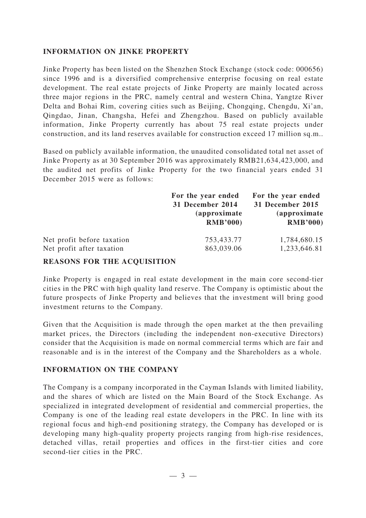#### **INFORMATION ON JINKE PROPERTY**

Jinke Property has been listed on the Shenzhen Stock Exchange (stock code: 000656) since 1996 and is a diversified comprehensive enterprise focusing on real estate development. The real estate projects of Jinke Property are mainly located across three major regions in the PRC, namely central and western China, Yangtze River Delta and Bohai Rim, covering cities such as Beijing, Chongqing, Chengdu, Xi'an, Qingdao, Jinan, Changsha, Hefei and Zhengzhou. Based on publicly available information, Jinke Property currently has about 75 real estate projects under construction, and its land reserves available for construction exceed 17 million sq.m..

Based on publicly available information, the unaudited consolidated total net asset of Jinke Property as at 30 September 2016 was approximately RMB21,634,423,000, and the audited net profits of Jinke Property for the two financial years ended 31 December 2015 were as follows:

|                            | For the year ended<br>31 December 2014<br><i>(approximate)</i><br><b>RMB'000)</b> | For the year ended<br>31 December 2015<br><i>(approximate)</i><br><b>RMB'000)</b> |
|----------------------------|-----------------------------------------------------------------------------------|-----------------------------------------------------------------------------------|
| Net profit before taxation | 753,433.77                                                                        | 1,784,680.15                                                                      |
| Net profit after taxation  | 863,039.06                                                                        | 1,233,646.81                                                                      |

#### **REASONS FOR THE ACQUISITION**

Jinke Property is engaged in real estate development in the main core second-tier cities in the PRC with high quality land reserve. The Company is optimistic about the future prospects of Jinke Property and believes that the investment will bring good investment returns to the Company.

Given that the Acquisition is made through the open market at the then prevailing market prices, the Directors (including the independent non-executive Directors) consider that the Acquisition is made on normal commercial terms which are fair and reasonable and is in the interest of the Company and the Shareholders as a whole.

#### **INFORMATION ON THE COMPANY**

The Company is a company incorporated in the Cayman Islands with limited liability, and the shares of which are listed on the Main Board of the Stock Exchange. As specialized in integrated development of residential and commercial properties, the Company is one of the leading real estate developers in the PRC. In line with its regional focus and high-end positioning strategy, the Company has developed or is developing many high-quality property projects ranging from high-rise residences, detached villas, retail properties and offices in the first-tier cities and core second-tier cities in the PRC.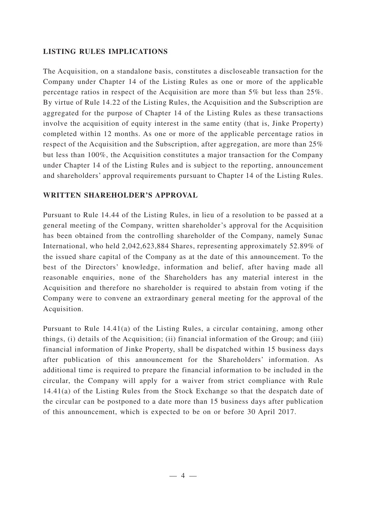## **LISTING RULES IMPLICATIONS**

The Acquisition, on a standalone basis, constitutes a discloseable transaction for the Company under Chapter 14 of the Listing Rules as one or more of the applicable percentage ratios in respect of the Acquisition are more than 5% but less than 25%. By virtue of Rule 14.22 of the Listing Rules, the Acquisition and the Subscription are aggregated for the purpose of Chapter 14 of the Listing Rules as these transactions involve the acquisition of equity interest in the same entity (that is, Jinke Property) completed within 12 months. As one or more of the applicable percentage ratios in respect of the Acquisition and the Subscription, after aggregation, are more than 25% but less than 100%, the Acquisition constitutes a major transaction for the Company under Chapter 14 of the Listing Rules and is subject to the reporting, announcement and shareholders' approval requirements pursuant to Chapter 14 of the Listing Rules.

## **WRITTEN SHAREHOLDER'S APPROVAL**

Pursuant to Rule 14.44 of the Listing Rules, in lieu of a resolution to be passed at a general meeting of the Company, written shareholder 's approval for the Acquisition has been obtained from the controlling shareholder of the Company, namely Sunac International, who held 2,042,623,884 Shares, representing approximately 52.89% of the issued share capital of the Company as at the date of this announcement. To the best of the Directors' knowledge, information and belief, after having made all reasonable enquiries, none of the Shareholders has any material interest in the Acquisition and therefore no shareholder is required to abstain from voting if the Company were to convene an extraordinary general meeting for the approval of the Acquisition.

Pursuant to Rule 14.41(a) of the Listing Rules, a circular containing, among other things, (i) details of the Acquisition; (ii) financial information of the Group; and (iii) financial information of Jinke Property, shall be dispatched within 15 business days after publication of this announcement for the Shareholders' information. As additional time is required to prepare the financial information to be included in the circular, the Company will apply for a waiver from strict compliance with Rule 14.41(a) of the Listing Rules from the Stock Exchange so that the despatch date of the circular can be postponed to a date more than 15 business days after publication of this announcement, which is expected to be on or before 30 April 2017.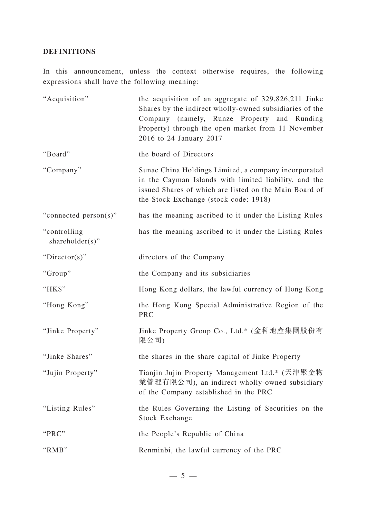## **DEFINITIONS**

In this announcement, unless the context otherwise requires, the following expressions shall have the following meaning:

| "Acquisition"                    | the acquisition of an aggregate of 329,826,211 Jinke<br>Shares by the indirect wholly-owned subsidiaries of the<br>Company (namely, Runze Property and Runding<br>Property) through the open market from 11 November<br>2016 to 24 January 2017 |
|----------------------------------|-------------------------------------------------------------------------------------------------------------------------------------------------------------------------------------------------------------------------------------------------|
| "Board"                          | the board of Directors                                                                                                                                                                                                                          |
| "Company"                        | Sunac China Holdings Limited, a company incorporated<br>in the Cayman Islands with limited liability, and the<br>issued Shares of which are listed on the Main Board of<br>the Stock Exchange (stock code: 1918)                                |
| "connected person(s)"            | has the meaning ascribed to it under the Listing Rules                                                                                                                                                                                          |
| "controlling"<br>shareholder(s)" | has the meaning ascribed to it under the Listing Rules                                                                                                                                                                                          |
| "Director(s)"                    | directors of the Company                                                                                                                                                                                                                        |
| "Group"                          | the Company and its subsidiaries                                                                                                                                                                                                                |
| "HK\$"                           | Hong Kong dollars, the lawful currency of Hong Kong                                                                                                                                                                                             |
| "Hong Kong"                      | the Hong Kong Special Administrative Region of the<br>PRC                                                                                                                                                                                       |
| "Jinke Property"                 | Jinke Property Group Co., Ltd.* (金科地產集團股份有<br>限公司)                                                                                                                                                                                              |
| "Jinke Shares"                   | the shares in the share capital of Jinke Property                                                                                                                                                                                               |
| "Jujin Property"                 | Tianjin Jujin Property Management Ltd.* (天津聚金物<br>業管理有限公司), an indirect wholly-owned subsidiary<br>of the Company established in the PRC                                                                                                        |
| "Listing Rules"                  | the Rules Governing the Listing of Securities on the<br>Stock Exchange                                                                                                                                                                          |
| "PRC"                            | the People's Republic of China                                                                                                                                                                                                                  |
| "RMB"                            | Renminbi, the lawful currency of the PRC                                                                                                                                                                                                        |